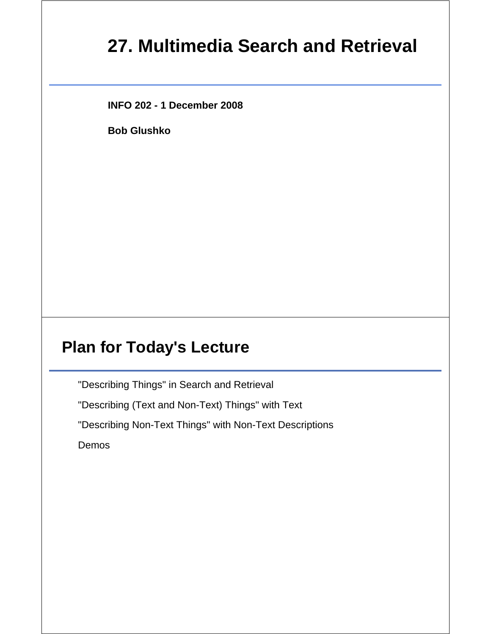# **27. Multimedia Search and Retrieval**

**INFO 202 - 1 December 2008**

**Bob Glushko**

#### **Plan for Today's Lecture**

"Describing Things" in Search and Retrieval

"Describing (Text and Non-Text) Things" with Text

"Describing Non-Text Things" with Non-Text Descriptions

Demos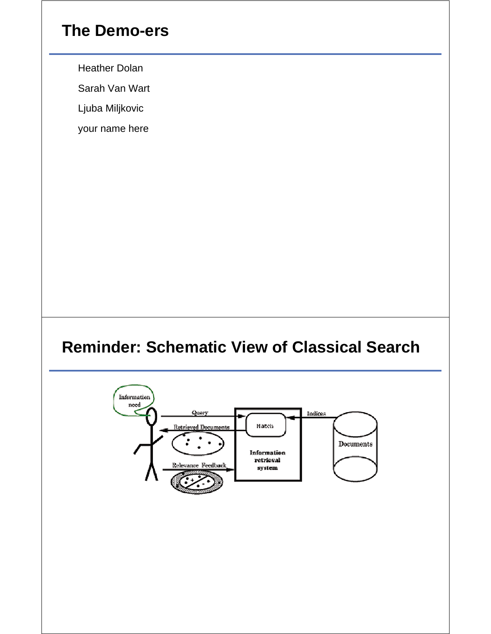## **The Demo-ers**

Heather Dolan

Sarah Van Wart

Ljuba Miljkovic

your name here

## **Reminder: Schematic View of Classical Search**

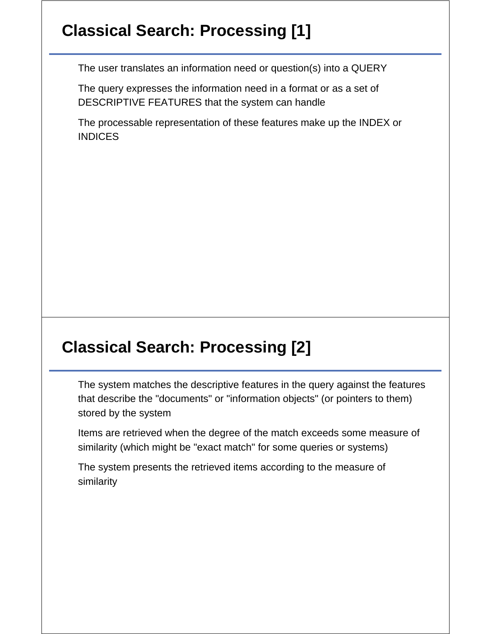# **Classical Search: Processing [1]**

The user translates an information need or question(s) into a QUERY

The query expresses the information need in a format or as a set of DESCRIPTIVE FEATURES that the system can handle

The processable representation of these features make up the INDEX or INDICES

## **Classical Search: Processing [2]**

The system matches the descriptive features in the query against the features that describe the "documents" or "information objects" (or pointers to them) stored by the system

Items are retrieved when the degree of the match exceeds some measure of similarity (which might be "exact match" for some queries or systems)

The system presents the retrieved items according to the measure of similarity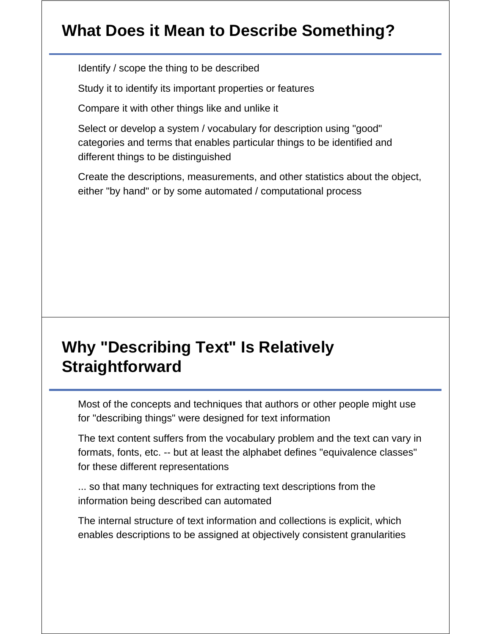## **What Does it Mean to Describe Something?**

Identify / scope the thing to be described

Study it to identify its important properties or features

Compare it with other things like and unlike it

Select or develop a system / vocabulary for description using "good" categories and terms that enables particular things to be identified and different things to be distinguished

Create the descriptions, measurements, and other statistics about the object, either "by hand" or by some automated / computational process

# **Why "Describing Text" Is Relatively Straightforward**

Most of the concepts and techniques that authors or other people might use for "describing things" were designed for text information

The text content suffers from the vocabulary problem and the text can vary in formats, fonts, etc. -- but at least the alphabet defines "equivalence classes" for these different representations

... so that many techniques for extracting text descriptions from the information being described can automated

The internal structure of text information and collections is explicit, which enables descriptions to be assigned at objectively consistent granularities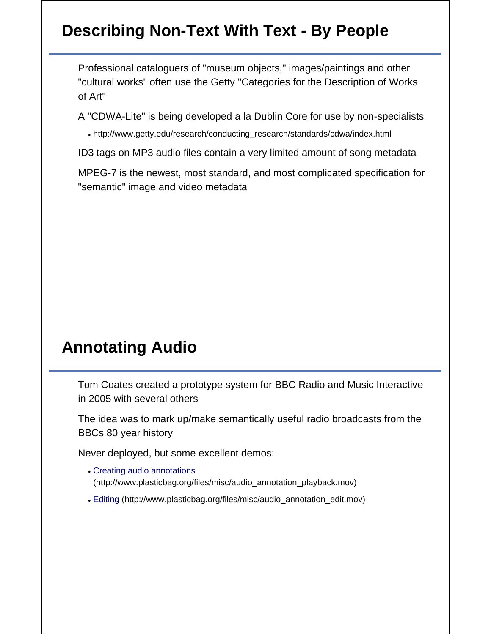# **Describing Non-Text With Text - By People**

Professional cataloguers of "museum objects," images/paintings and other "cultural works" often use the Getty "Categories for the Description of Works of Art"

A "CDWA-Lite" is being developed a la Dublin Core for use by non-specialists

http://www.getty.edu/research/conducting\_research/standards/cdwa/index.html

ID3 tags on MP3 audio files contain a very limited amount of song metadata

MPEG-7 is the newest, most standard, and most complicated specification for "semantic" image and video metadata

## **Annotating Audio**

Tom Coates created a prototype system for BBC Radio and Music Interactive in 2005 with several others

The idea was to mark up/make semantically useful radio broadcasts from the BBCs 80 year history

Never deployed, but some excellent demos:

- Creating audio annotations (http://www.plasticbag.org/files/misc/audio\_annotation\_playback.mov)
- Editing (http://www.plasticbag.org/files/misc/audio\_annotation\_edit.mov)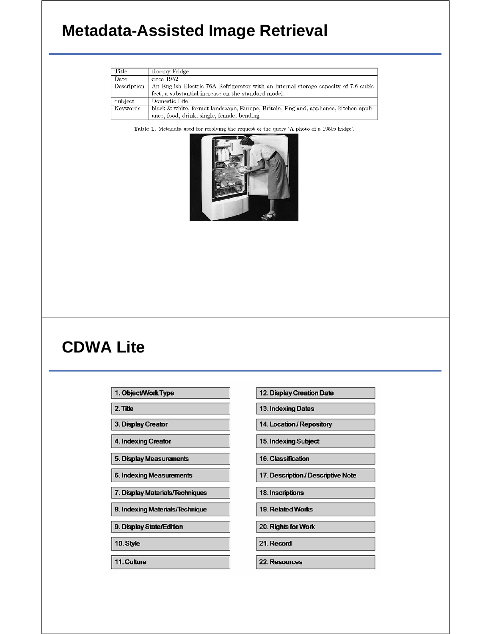## **Metadata-Assisted Image Retrieval**

| Title       | Roomy Fridge                                                                         |
|-------------|--------------------------------------------------------------------------------------|
| Date        | circa 1952                                                                           |
| Description | An English Electric 76A Refrigerator with an internal storage capacity of 7.6 cubic  |
|             | feet, a substantial increase on the standard model.                                  |
| Subject     | Domestic Life                                                                        |
| Keywords    | black & white, format landscape, Europe, Britain, England, appliance, kitchen appli- |
|             | ance, food, drink, single, female, bending                                           |

Table 1. Metadata used for resolving the request of the query 'A photo of a 1950s fridge'.



#### **CDWA Lite**

- 1. Object/Work Type
- 2. Title
- 3. Display Creator
- 4. Indexing Creator
- 5. Display Measurements
- 6. Indexing Measurements
- 7. Display Materials/Techniques
- 8. Indexing Materials/Technique
- 9. Display State/Edition
- 10. Style
- 11. Culture

13. Indexing Dates 14. Location / Repository 15. Indexing Subject 16. Classification 17. Description / Descriptive Note 18. Inscriptions 19. Related Works 20. Rights for Work 21. Record 22. Resources

12. Display Creation Date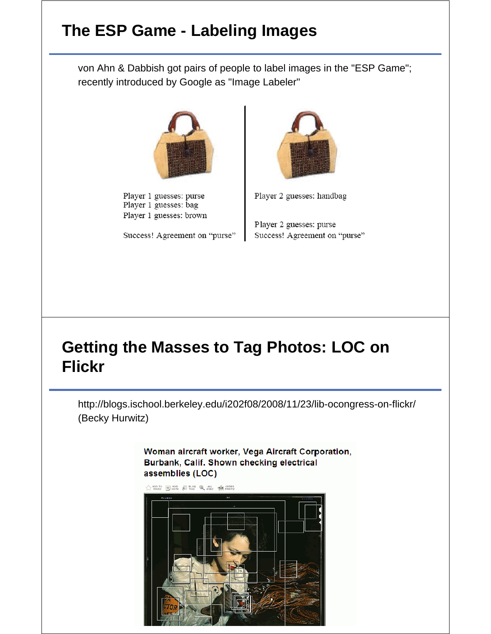# **The ESP Game - Labeling Images**

von Ahn & Dabbish got pairs of people to label images in the "ESP Game"; recently introduced by Google as "Image Labeler"



Player 1 guesses: purse Player 1 guesses: bag Player 1 guesses: brown

Success! Agreement on "purse"



Player 2 guesses: handbag

Player 2 guesses: purse Success! Agreement on "purse"

# **Getting the Masses to Tag Photos: LOC on Flickr**

http://blogs.ischool.berkeley.edu/i202f08/2008/11/23/lib-ocongress-on-flickr/ (Becky Hurwitz)

> Woman aircraft worker, Vega Aircraft Corporation, Burbank, Calif. Shown checking electrical assemblies (LOC)

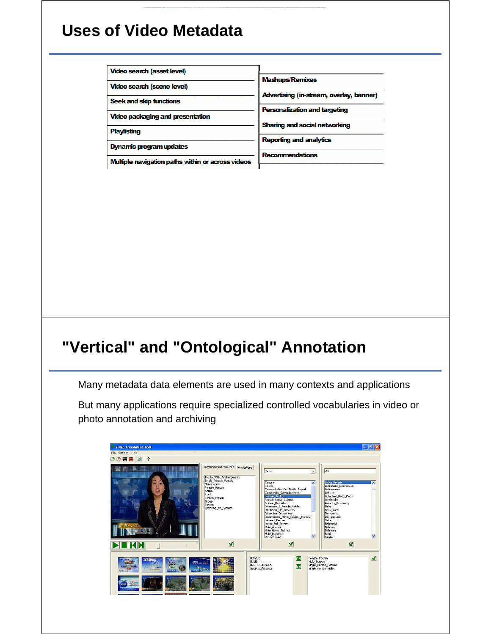## **Uses of Video Metadata**

#### Video search (asset level)

Video search (scene level)

Seek and skip functions

Video packaging and presentation

**Playlisting** 

Dynamic program updates

**Mashups/Remixes** 

Advertising (in-stream, overlay, banner)

Personalization and targeting

Sharing and social networking

**Reporting and analytics** 

Recommendations

Mulfiple navigation paths within or across videos

# **"Vertical" and "Ontological" Annotation**

Many metadata data elements are used in many contexts and applications

But many applications require specialized controlled vocabularies in video or photo annotation and archiving

| Video Annotation Tool<br>File Options Holp                                                                                                                                                                        |                                                                                                                                                                                                     |                                                                                                                                                                                                                                                                                                                                                                                            | <b>C</b> Ely                                                                                                                                                                                                                                                                                                  |
|-------------------------------------------------------------------------------------------------------------------------------------------------------------------------------------------------------------------|-----------------------------------------------------------------------------------------------------------------------------------------------------------------------------------------------------|--------------------------------------------------------------------------------------------------------------------------------------------------------------------------------------------------------------------------------------------------------------------------------------------------------------------------------------------------------------------------------------------|---------------------------------------------------------------------------------------------------------------------------------------------------------------------------------------------------------------------------------------------------------------------------------------------------------------|
| 20日目 21                                                                                                                                                                                                           |                                                                                                                                                                                                     |                                                                                                                                                                                                                                                                                                                                                                                            |                                                                                                                                                                                                                                                                                                               |
| ĕ<br>计库人和室<br>加 印 说                                                                                                                                                                                               | Recommended concepts   Annotations  <br>Studo_With_Anchorperson<br>Shop Person Female<br>Newspapers<br>Female Passon<br>Anmal<br>Adult:<br>Civilian Person<br>Group<br>Person<br>Speaking To Camera | $\overline{z}$<br>News.<br>Common<br>$\lambda$<br>Cherts<br>Connectator Or Studio Expert<br>Connercial Advertisement:<br>Femoe Andro<br>Female News Subject<br>Female Reporter<br>Interview 2 People Valtle<br>Interview On Localian<br>Interview_Sequences<br>Interviewee News Subject Monoloj<br>Lebeled People<br>Logos_Ful_Screen<br>Male_Archor<br>Male Niws_Subject<br>Male_Reporter | as.<br>Asien_People<br>$\overline{\phantom{a}}$<br>Astronaut Cosmonaut<br>Astronomer<br>Athlete<br>Attached Body Parts<br>Avalanche<br>Awards Ceremony<br>Baby<br>Back Yard<br><b>Backpack</b><br>Backpackers<br>Baker<br>Baloonist<br>Balonns<br>Balroom<br>Bank<br>$\overline{\mathbf{v}}$<br><b>Banker</b> |
|                                                                                                                                                                                                                   | $\blacktriangleleft$                                                                                                                                                                                | V                                                                                                                                                                                                                                                                                                                                                                                          | $\mathbf{S}$                                                                                                                                                                                                                                                                                                  |
| <b>Contract Contract Contract Contract Contract Contract Contract Contract Contract Contract Contract Contract C</b><br><b><i>District Sea</i></b><br><b>WW ISEAN</b><br><b>Seat</b><br>1022<br><b>STATISTICS</b> | <b>FEMALE</b><br><b>MALE</b><br><b>COLORADO</b><br><b>Transport</b>                                                                                                                                 | ×<br>Fema's Parson<br>Male Parson<br><b>FROFESSIONALS</b><br>Y<br>SENIOR S/EDERLY                                                                                                                                                                                                                                                                                                          | $\sqrt{ }$<br>Single Person Female<br>Single Ferson Male                                                                                                                                                                                                                                                      |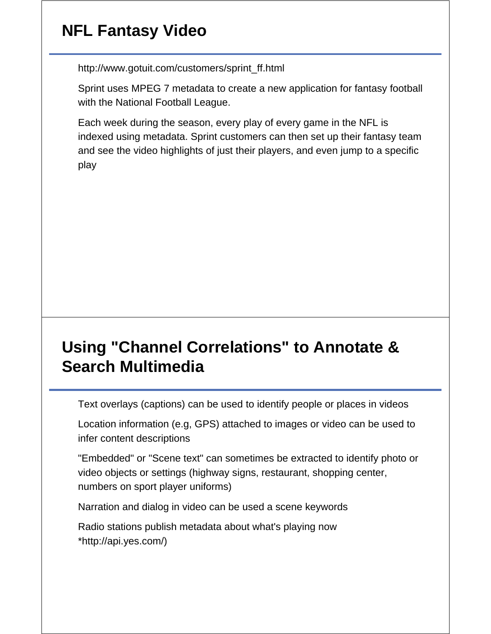# **NFL Fantasy Video**

http://www.gotuit.com/customers/sprint\_ff.html

Sprint uses MPEG 7 metadata to create a new application for fantasy football with the National Football League.

Each week during the season, every play of every game in the NFL is indexed using metadata. Sprint customers can then set up their fantasy team and see the video highlights of just their players, and even jump to a specific play

# **Using "Channel Correlations" to Annotate & Search Multimedia**

Text overlays (captions) can be used to identify people or places in videos

Location information (e.g, GPS) attached to images or video can be used to infer content descriptions

"Embedded" or "Scene text" can sometimes be extracted to identify photo or video objects or settings (highway signs, restaurant, shopping center, numbers on sport player uniforms)

Narration and dialog in video can be used a scene keywords

Radio stations publish metadata about what's playing now \*http://api.yes.com/)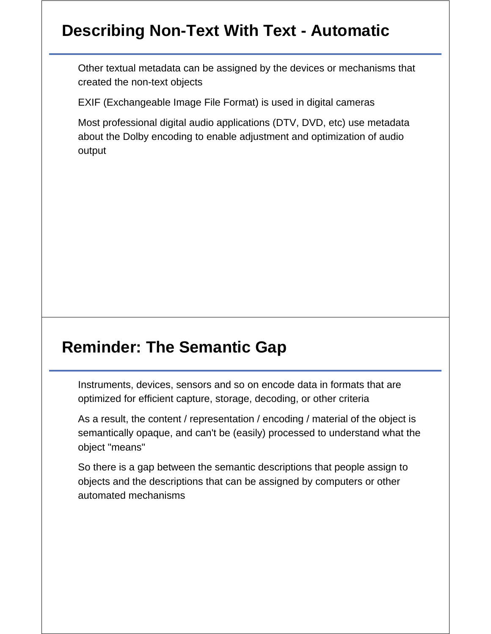# **Describing Non-Text With Text - Automatic**

Other textual metadata can be assigned by the devices or mechanisms that created the non-text objects

EXIF (Exchangeable Image File Format) is used in digital cameras

Most professional digital audio applications (DTV, DVD, etc) use metadata about the Dolby encoding to enable adjustment and optimization of audio output

## **Reminder: The Semantic Gap**

Instruments, devices, sensors and so on encode data in formats that are optimized for efficient capture, storage, decoding, or other criteria

As a result, the content / representation / encoding / material of the object is semantically opaque, and can't be (easily) processed to understand what the object "means"

So there is a gap between the semantic descriptions that people assign to objects and the descriptions that can be assigned by computers or other automated mechanisms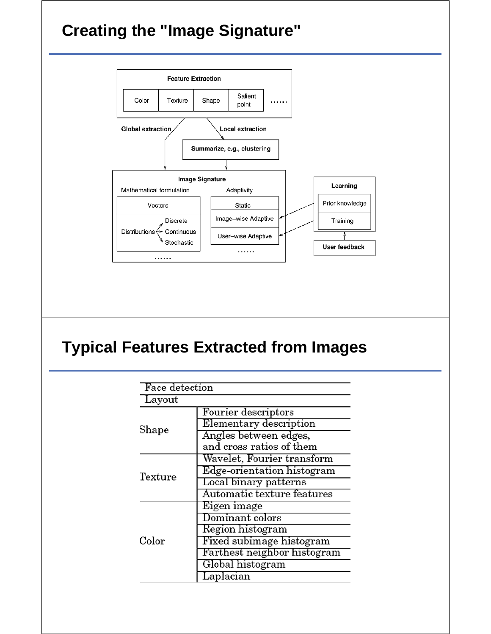# **Creating the "Image Signature"**



# **Typical Features Extracted from Images**

| Face detection |                             |  |  |  |
|----------------|-----------------------------|--|--|--|
| Layout         |                             |  |  |  |
|                | Fourier descriptors         |  |  |  |
| Shape          | Elementary description      |  |  |  |
|                | Angles between edges,       |  |  |  |
|                | and cross ratios of them    |  |  |  |
|                | Wavelet, Fourier transform  |  |  |  |
| Texture        | Edge-orientation histogram  |  |  |  |
|                | Local binary patterns       |  |  |  |
|                | Automatic texture features  |  |  |  |
|                | Eigen image                 |  |  |  |
|                | ${\rm Dominant}$ colors     |  |  |  |
|                | Region histogram            |  |  |  |
| Color          | Fixed subimage histogram    |  |  |  |
|                | Farthest neighbor histogram |  |  |  |
|                | Global histogram            |  |  |  |
|                | Laplacian                   |  |  |  |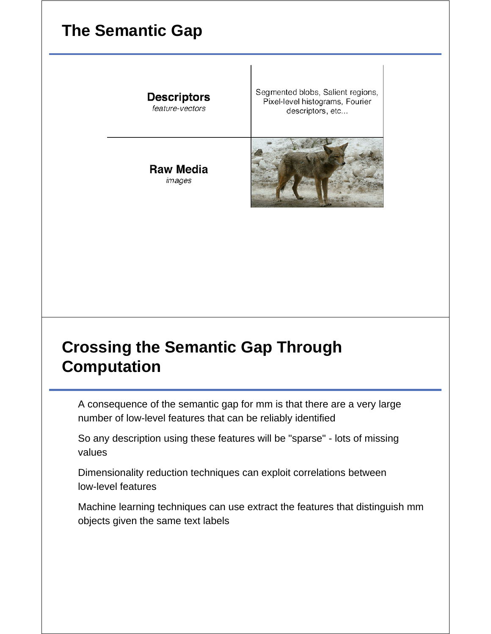## **The Semantic Gap**

**Descriptors** feature-vectors

**Raw Media** images

Segmented blobs, Salient regions, Pixel-level histograms, Fourier descriptors, etc...



## **Crossing the Semantic Gap Through Computation**

A consequence of the semantic gap for mm is that there are a very large number of low-level features that can be reliably identified

So any description using these features will be "sparse" - lots of missing values

Dimensionality reduction techniques can exploit correlations between low-level features

Machine learning techniques can use extract the features that distinguish mm objects given the same text labels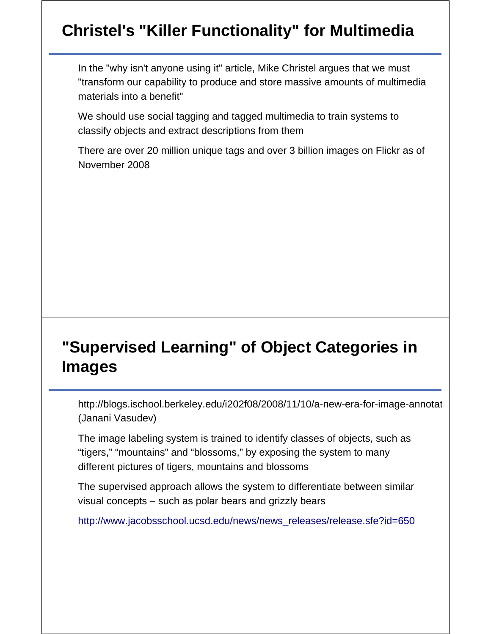# **Christel's "Killer Functionality" for Multimedia**

In the "why isn't anyone using it" article, Mike Christel argues that we must "transform our capability to produce and store massive amounts of multimedia materials into a benefit"

We should use social tagging and tagged multimedia to train systems to classify objects and extract descriptions from them

There are over 20 million unique tags and over 3 billion images on Flickr as of November 2008

# **"Supervised Learning" of Object Categories in Images**

http://blogs.ischool.berkeley.edu/i202f08/2008/11/10/a-new-era-for-image-annotat (Janani Vasudev)

The image labeling system is trained to identify classes of objects, such as "tigers," "mountains" and "blossoms," by exposing the system to many different pictures of tigers, mountains and blossoms

The supervised approach allows the system to differentiate between similar visual concepts – such as polar bears and grizzly bears

http://www.jacobsschool.ucsd.edu/news/news\_releases/release.sfe?id=650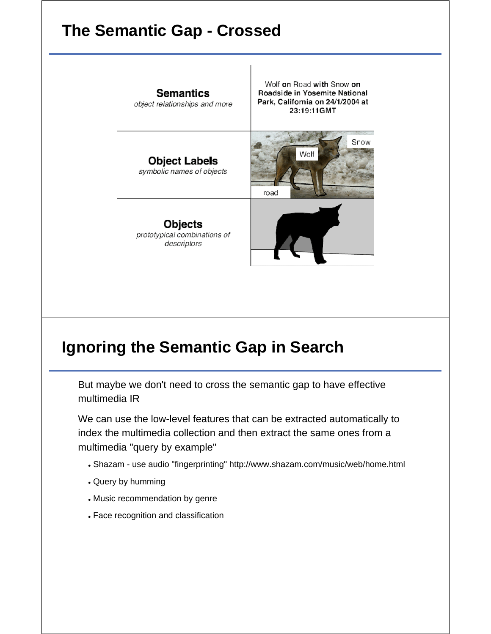## **The Semantic Gap - Crossed**

**Semantics** object relationships and more

Wolf on Road with Snow on Roadside in Yosemite National Park, California on 24/1/2004 at 23:19:11GMT

**Object Labels** symbolic names of objects

**Objects** prototypical combinations of descriptors





## **Ignoring the Semantic Gap in Search**

But maybe we don't need to cross the semantic gap to have effective multimedia IR

We can use the low-level features that can be extracted automatically to index the multimedia collection and then extract the same ones from a multimedia "query by example"

- Shazam use audio "fingerprinting" http://www.shazam.com/music/web/home.html
- Query by humming
- Music recommendation by genre
- Face recognition and classification